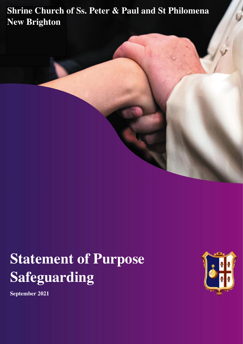### Shrine Church of Ss. Peter & Paul and St Philomena New Brighton

# Statement of Purpose Safeguarding



September 2021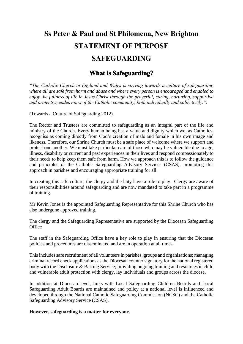# Ss Peter & Paul and St Philomena, New Brighton STATEMENT OF PURPOSE

### SAFEGUARDING

### What is Safeguarding?

*"The Catholic Church in England and Wales is striving towards a culture of safeguarding where all are safe from harm and abuse and where every person is encouraged and enabled to enjoy the fullness of life in Jesus Christ through the prayerful, caring, nurturing, supportive and protective endeavours of the Catholic community, both individually and collectively.".*

(Towards a Culture of Safeguarding 2012).

The Rector and Trustees are committed to safeguarding as an integral part of the life and ministry of the Church. Every human being has a value and dignity which we, as Catholics, recognise as coming directly from God's creation of male and female in his own image and likeness. Therefore, our Shrine Church must be a safe place of welcome where we support and protect one another. We must take particular care of those who may be vulnerable due to age, illness, disability or current and past experiences in their lives and respond compassionately to their needs to help keep them safe from harm. How we approach this is to follow the guidance and principles of the Catholic Safeguarding Advisory Services (CSAS), promoting this approach in parishes and encouraging appropriate training for all.

In creating this safe culture, the clergy and the laity have a role to play. Clergy are aware of their responsibilities around safeguarding and are now mandated to take part in a programme of training.

Mr Kevin Jones is the appointed Safeguarding Representative for this Shrine Church who has also undergone approved training.

The clergy and the Safeguarding Representative are supported by the Diocesan Safeguarding **Office** 

The staff in the Safeguarding Office have a key role to play in ensuring that the Diocesan policies and procedures are disseminated and are in operation at all times.

This includes safe recruitment of all volunteers in parishes, groups and organisations; managing criminal record check applications as the Diocesan counter signatory for the national registered body with the Disclosure & Barring Service; providing ongoing training and resources in child and vulnerable adult protection with clergy, lay individuals and groups across the diocese.

In addition at Diocesan level, links with Local Safeguarding Children Boards and Local Safeguarding Adult Boards are maintained and policy at a national level is influenced and developed through the National Catholic Safeguarding Commission (NCSC) and the Catholic Safeguarding Advisory Service (CSAS).

**However, safeguarding is a matter for everyone.**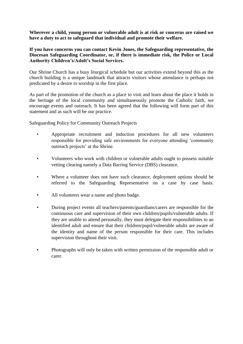**Wherever a child, young person or vulnerable adult is at risk or concerns are raised we have a duty to act to safeguard that individual and promote their welfare.** 

#### **If you have concerns you can contact Kevin Jones, the Safeguarding representative, the Diocesan Safeguarding Coordinator, or, if there is immediate risk, the Police or Local Authority Children's/Adult's Social Services.**

Our Shrine Church has a busy liturgical schedule but our activities extend beyond this as the church building is a unique landmark that attracts visitors whose attendance is perhaps not predicated by a desire to worship in the first place.

As part of the promotion of the church as a place to visit and learn about the place it holds in the heritage of the local community and simultaneously promote the Catholic faith, we encourage events and outreach. It has been agreed that the following will form part of this statement and as such will be our practice.

Safeguarding Policy for Community Outreach Projects

- Appropriate recruitment and induction procedures for all new volunteers responsible for providing safe environments for everyone attending 'community outreach projects' at the Shrine.
- Volunteers who work with children or vulnerable adults ought to possess suitable vetting clearing namely a Data Barring Service (DBS) clearance.
- Where a volunteer does not have such clearance, deployment options should be referred to the Safeguarding Representative on a case by case basis.
- All volunteers wear a name and photo badge.
- During project events all teachers/parents/guardians/carers are responsible for the continuous care and supervision of their own children/pupils/vulnerable adults. If they are unable to attend personally, they must delegate their responsibilities to an identified adult and ensure that their children/pupil/vulnerable adults are aware of the identity and name of the person responsible for their care. This includes supervision throughout their visit.
- Photographs will only be taken with written permission of the responsible adult or carer.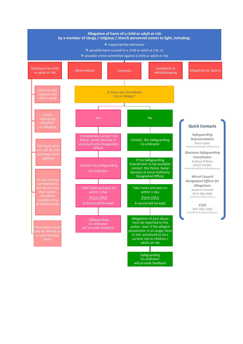